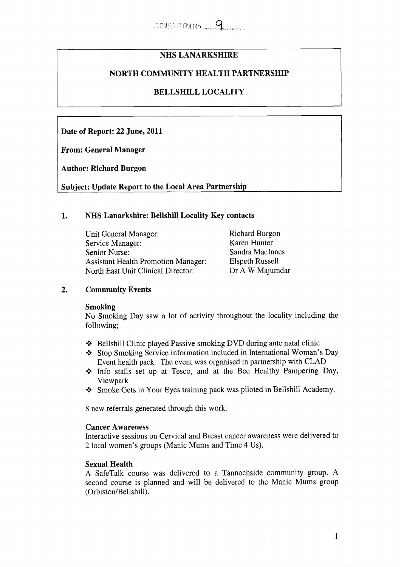# **NHS LANARKSHIRE**

# **NORTH COMMUNITY HEALTH PARTNERSHIP**

# **BELLSHILL LOCALITY**

**Date of Report: 22 June, 2011** 

**From: General Manager** 

**Author: Richard Burgon** 

**Subject: Update Report to the Local Area Partnership** 

## **1. NHS Lanarkshire: Bellshill Locality Key contacts**

| Unit General Manager:                      | <b>Richard Burgon</b>  |
|--------------------------------------------|------------------------|
| Service Manager:                           | Karen Hunter           |
| Senior Nurse:                              | Sandra MacInnes        |
| <b>Assistant Health Promotion Manager:</b> | <b>Elspeth Russell</b> |
| North East Unit Clinical Director:         | Dr A W Majumdar        |

# **2. Community Events**

### **Smoking**

No Smoking Day saw a lot of activity throughout the locality including the following;

- \* Bellshill Clinic played Passive smoking DVD during ante natal clinic
- \* Stop Smoking Service information included in International Woman's Day Event health pack. The event was organised in partnership with CLAD
- \* Info stalls set up at Tesco, and at the Bee Healthy Pampering Day, Viewpark
- \* Smoke Gets in Your Eyes training pack was piloted in Bellshill Academy.

8 new referrals generated through this work.

### **Cancer Awareness**

Interactive sessions on Cervical and Breast cancer awareness were delivered to **2** local women's groups (Manic Mums and Time 4 Us).

### **Sexual Health**

**A** SafeTalk course was delivered to a Tannochside community group. **A**  second course is planned and will be delivered to the Manic Mums group (Orbiston/Bellshill).

1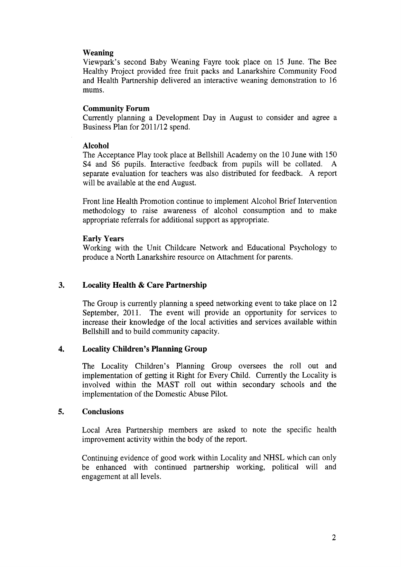## **Weaning**

Viewpark's second Baby Weaning Fayre took place on 15 June. The Bee Healthy Project provided free fruit packs and Lanarkshire Community Food and Health Partnership delivered an interactive weaning demonstration to 16 mums.

### **Community Forum**

Currently planning a Development Day in August to consider and agree a Business Plan for 201 1/12 spend.

### **Alcohol**

The Acceptance Play took place at Bellshill Academy on the 10 June with 150 S4 and S6 pupils. Interactive feedback from pupils will be collated. A separate evaluation for teachers was also distributed for feedback. A report will be available at the end August.

Front line Health Promotion continue to implement Alcohol Brief Intervention methodology to raise awareness of alcohol consumption and to make appropriate referrals for additional support as appropriate.

## **Early Years**

Working with the Unit Childcare Network and Educational Psychology to produce a North Lanarkshire resource on Attachment for parents.

# **3. Locality Health** & **Care Partnership**

The Group is currently planning a speed networking event to take place on 12 September, 2011. The event will provide an opportunity for services to increase their knowledge of the local activities and services available within Bellshill and to build community capacity.

# **4. Locality Children's Planning Group**

The Locality Children's Planning Group oversees the roll out and implementation of getting it Right for Every Child. Currently the Locality is involved within the MAST roll out within secondary schools and the implementation of the Domestic Abuse Pilot.

### *5.* **Conclusions**

Local Area Partnership members are asked to note the specific health improvement activity within the body of the report.

Continuing evidence of good work within Locality and NHSL which can only be enhanced with continued partnership working, political will and engagement at all levels.